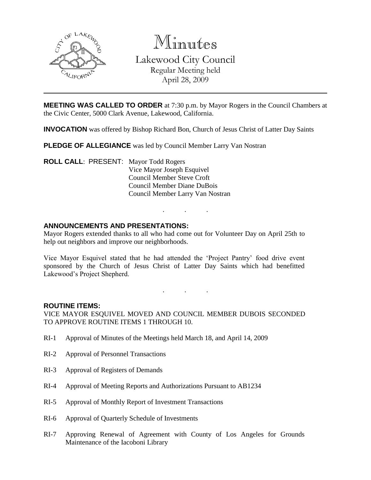

Minutes Lakewood City Council Regular Meeting held April 28, 2009

**MEETING WAS CALLED TO ORDER** at 7:30 p.m. by Mayor Rogers in the Council Chambers at the Civic Center, 5000 Clark Avenue, Lakewood, California.

**INVOCATION** was offered by Bishop Richard Bon, Church of Jesus Christ of Latter Day Saints

**PLEDGE OF ALLEGIANCE** was led by Council Member Larry Van Nostran

**ROLL CALL**: PRESENT: Mayor Todd Rogers Vice Mayor Joseph Esquivel Council Member Steve Croft Council Member Diane DuBois Council Member Larry Van Nostran

## **ANNOUNCEMENTS AND PRESENTATIONS:**

Mayor Rogers extended thanks to all who had come out for Volunteer Day on April 25th to help out neighbors and improve our neighborhoods.

. . .

Vice Mayor Esquivel stated that he had attended the 'Project Pantry' food drive event sponsored by the Church of Jesus Christ of Latter Day Saints which had benefitted Lakewood's Project Shepherd.

. . .

#### **ROUTINE ITEMS:**

VICE MAYOR ESQUIVEL MOVED AND COUNCIL MEMBER DUBOIS SECONDED TO APPROVE ROUTINE ITEMS 1 THROUGH 10.

- RI-1 Approval of Minutes of the Meetings held March 18, and April 14, 2009
- RI-2 Approval of Personnel Transactions
- RI-3 Approval of Registers of Demands
- RI-4 Approval of Meeting Reports and Authorizations Pursuant to AB1234
- RI-5 Approval of Monthly Report of Investment Transactions
- RI-6 Approval of Quarterly Schedule of Investments
- RI-7 Approving Renewal of Agreement with County of Los Angeles for Grounds Maintenance of the Iacoboni Library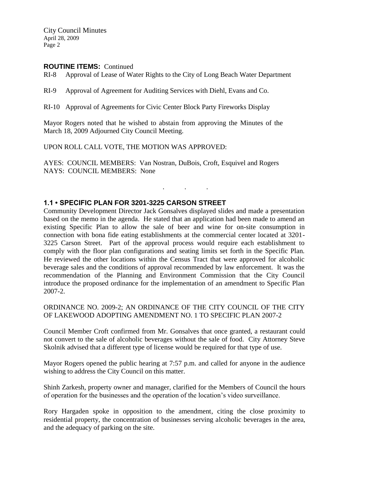### **ROUTINE ITEMS:** Continued

RI-8 Approval of Lease of Water Rights to the City of Long Beach Water Department

RI-9 Approval of Agreement for Auditing Services with Diehl, Evans and Co.

RI-10 Approval of Agreements for Civic Center Block Party Fireworks Display

Mayor Rogers noted that he wished to abstain from approving the Minutes of the March 18, 2009 Adjourned City Council Meeting.

UPON ROLL CALL VOTE, THE MOTION WAS APPROVED:

AYES: COUNCIL MEMBERS: Van Nostran, DuBois, Croft, Esquivel and Rogers NAYS: COUNCIL MEMBERS: None

## **1.1 • SPECIFIC PLAN FOR 3201-3225 CARSON STREET**

Community Development Director Jack Gonsalves displayed slides and made a presentation based on the memo in the agenda. He stated that an application had been made to amend an existing Specific Plan to allow the sale of beer and wine for on-site consumption in connection with bona fide eating establishments at the commercial center located at 3201- 3225 Carson Street. Part of the approval process would require each establishment to comply with the floor plan configurations and seating limits set forth in the Specific Plan. He reviewed the other locations within the Census Tract that were approved for alcoholic beverage sales and the conditions of approval recommended by law enforcement. It was the recommendation of the Planning and Environment Commission that the City Council introduce the proposed ordinance for the implementation of an amendment to Specific Plan 2007-2.

. . .

ORDINANCE NO. 2009-2; AN ORDINANCE OF THE CITY COUNCIL OF THE CITY OF LAKEWOOD ADOPTING AMENDMENT NO. 1 TO SPECIFIC PLAN 2007-2

Council Member Croft confirmed from Mr. Gonsalves that once granted, a restaurant could not convert to the sale of alcoholic beverages without the sale of food. City Attorney Steve Skolnik advised that a different type of license would be required for that type of use.

Mayor Rogers opened the public hearing at 7:57 p.m. and called for anyone in the audience wishing to address the City Council on this matter.

Shinh Zarkesh, property owner and manager, clarified for the Members of Council the hours of operation for the businesses and the operation of the location's video surveillance.

Rory Hargaden spoke in opposition to the amendment, citing the close proximity to residential property, the concentration of businesses serving alcoholic beverages in the area, and the adequacy of parking on the site.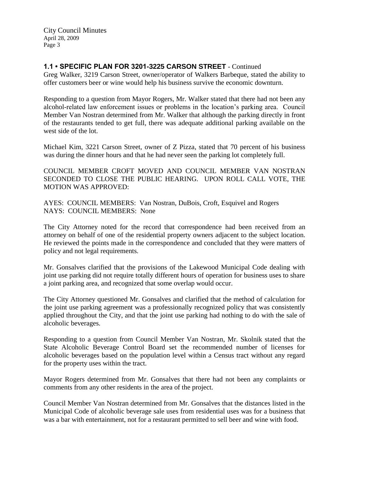# **1.1 • SPECIFIC PLAN FOR 3201-3225 CARSON STREET** - Continued

Greg Walker, 3219 Carson Street, owner/operator of Walkers Barbeque, stated the ability to offer customers beer or wine would help his business survive the economic downturn.

Responding to a question from Mayor Rogers, Mr. Walker stated that there had not been any alcohol-related law enforcement issues or problems in the location's parking area. Council Member Van Nostran determined from Mr. Walker that although the parking directly in front of the restaurants tended to get full, there was adequate additional parking available on the west side of the lot.

Michael Kim, 3221 Carson Street, owner of Z Pizza, stated that 70 percent of his business was during the dinner hours and that he had never seen the parking lot completely full.

COUNCIL MEMBER CROFT MOVED AND COUNCIL MEMBER VAN NOSTRAN SECONDED TO CLOSE THE PUBLIC HEARING. UPON ROLL CALL VOTE, THE MOTION WAS APPROVED:

AYES: COUNCIL MEMBERS: Van Nostran, DuBois, Croft, Esquivel and Rogers NAYS: COUNCIL MEMBERS: None

The City Attorney noted for the record that correspondence had been received from an attorney on behalf of one of the residential property owners adjacent to the subject location. He reviewed the points made in the correspondence and concluded that they were matters of policy and not legal requirements.

Mr. Gonsalves clarified that the provisions of the Lakewood Municipal Code dealing with joint use parking did not require totally different hours of operation for business uses to share a joint parking area, and recognized that some overlap would occur.

The City Attorney questioned Mr. Gonsalves and clarified that the method of calculation for the joint use parking agreement was a professionally recognized policy that was consistently applied throughout the City, and that the joint use parking had nothing to do with the sale of alcoholic beverages.

Responding to a question from Council Member Van Nostran, Mr. Skolnik stated that the State Alcoholic Beverage Control Board set the recommended number of licenses for alcoholic beverages based on the population level within a Census tract without any regard for the property uses within the tract.

Mayor Rogers determined from Mr. Gonsalves that there had not been any complaints or comments from any other residents in the area of the project.

Council Member Van Nostran determined from Mr. Gonsalves that the distances listed in the Municipal Code of alcoholic beverage sale uses from residential uses was for a business that was a bar with entertainment, not for a restaurant permitted to sell beer and wine with food.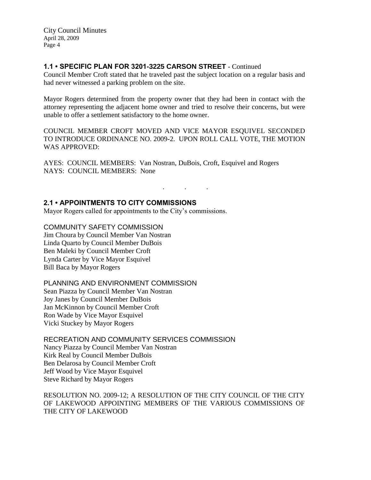# **1.1 • SPECIFIC PLAN FOR 3201-3225 CARSON STREET** - Continued

Council Member Croft stated that he traveled past the subject location on a regular basis and had never witnessed a parking problem on the site.

Mayor Rogers determined from the property owner that they had been in contact with the attorney representing the adjacent home owner and tried to resolve their concerns, but were unable to offer a settlement satisfactory to the home owner.

COUNCIL MEMBER CROFT MOVED AND VICE MAYOR ESQUIVEL SECONDED TO INTRODUCE ORDINANCE NO. 2009-2. UPON ROLL CALL VOTE, THE MOTION WAS APPROVED:

AYES: COUNCIL MEMBERS: Van Nostran, DuBois, Croft, Esquivel and Rogers NAYS: COUNCIL MEMBERS: None

#### . . .

### **2.1 • APPOINTMENTS TO CITY COMMISSIONS**

Mayor Rogers called for appointments to the City's commissions.

### COMMUNITY SAFETY COMMISSION

Jim Choura by Council Member Van Nostran Linda Quarto by Council Member DuBois Ben Maleki by Council Member Croft Lynda Carter by Vice Mayor Esquivel Bill Baca by Mayor Rogers

#### PLANNING AND ENVIRONMENT COMMISSION

Sean Piazza by Council Member Van Nostran Joy Janes by Council Member DuBois Jan McKinnon by Council Member Croft Ron Wade by Vice Mayor Esquivel Vicki Stuckey by Mayor Rogers

### RECREATION AND COMMUNITY SERVICES COMMISSION

Nancy Piazza by Council Member Van Nostran Kirk Real by Council Member DuBois Ben Delarosa by Council Member Croft Jeff Wood by Vice Mayor Esquivel Steve Richard by Mayor Rogers

RESOLUTION NO. 2009-12; A RESOLUTION OF THE CITY COUNCIL OF THE CITY OF LAKEWOOD APPOINTING MEMBERS OF THE VARIOUS COMMISSIONS OF THE CITY OF LAKEWOOD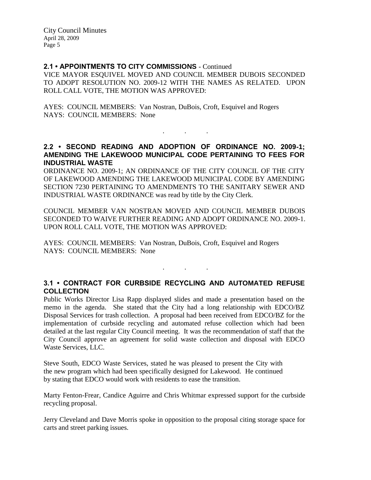### **2.1 • APPOINTMENTS TO CITY COMMISSIONS** - Continued

VICE MAYOR ESQUIVEL MOVED AND COUNCIL MEMBER DUBOIS SECONDED TO ADOPT RESOLUTION NO. 2009-12 WITH THE NAMES AS RELATED. UPON ROLL CALL VOTE, THE MOTION WAS APPROVED:

AYES: COUNCIL MEMBERS: Van Nostran, DuBois, Croft, Esquivel and Rogers NAYS: COUNCIL MEMBERS: None

# **2.2 • SECOND READING AND ADOPTION OF ORDINANCE NO. 2009-1; AMENDING THE LAKEWOOD MUNICIPAL CODE PERTAINING TO FEES FOR INDUSTRIAL WASTE**

. . .

ORDINANCE NO. 2009-1; AN ORDINANCE OF THE CITY COUNCIL OF THE CITY OF LAKEWOOD AMENDING THE LAKEWOOD MUNICIPAL CODE BY AMENDING SECTION 7230 PERTAINING TO AMENDMENTS TO THE SANITARY SEWER AND INDUSTRIAL WASTE ORDINANCE was read by title by the City Clerk.

COUNCIL MEMBER VAN NOSTRAN MOVED AND COUNCIL MEMBER DUBOIS SECONDED TO WAIVE FURTHER READING AND ADOPT ORDINANCE NO. 2009-1. UPON ROLL CALL VOTE, THE MOTION WAS APPROVED:

AYES: COUNCIL MEMBERS: Van Nostran, DuBois, Croft, Esquivel and Rogers NAYS: COUNCIL MEMBERS: None

# **3.1 • CONTRACT FOR CURBSIDE RECYCLING AND AUTOMATED REFUSE COLLECTION**

 $\mathbf{r} = \mathbf{r} \cdot \mathbf{r}$ 

Public Works Director Lisa Rapp displayed slides and made a presentation based on the memo in the agenda. She stated that the City had a long relationship with EDCO/BZ Disposal Services for trash collection. A proposal had been received from EDCO/BZ for the implementation of curbside recycling and automated refuse collection which had been detailed at the last regular City Council meeting. It was the recommendation of staff that the City Council approve an agreement for solid waste collection and disposal with EDCO Waste Services, LLC.

Steve South, EDCO Waste Services, stated he was pleased to present the City with the new program which had been specifically designed for Lakewood. He continued by stating that EDCO would work with residents to ease the transition.

Marty Fenton-Frear, Candice Aguirre and Chris Whitmar expressed support for the curbside recycling proposal.

Jerry Cleveland and Dave Morris spoke in opposition to the proposal citing storage space for carts and street parking issues.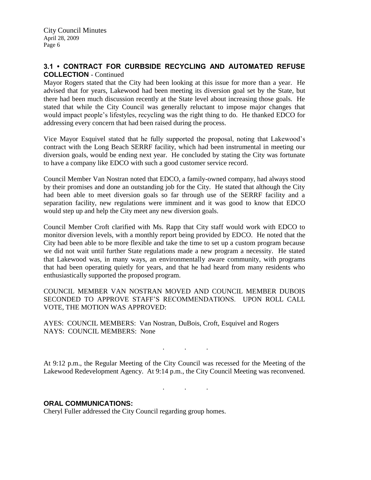## **3.1 • CONTRACT FOR CURBSIDE RECYCLING AND AUTOMATED REFUSE COLLECTION** - Continued

Mayor Rogers stated that the City had been looking at this issue for more than a year. He advised that for years, Lakewood had been meeting its diversion goal set by the State, but there had been much discussion recently at the State level about increasing those goals. He stated that while the City Council was generally reluctant to impose major changes that would impact people's lifestyles, recycling was the right thing to do. He thanked EDCO for addressing every concern that had been raised during the process.

Vice Mayor Esquivel stated that he fully supported the proposal, noting that Lakewood's contract with the Long Beach SERRF facility, which had been instrumental in meeting our diversion goals, would be ending next year. He concluded by stating the City was fortunate to have a company like EDCO with such a good customer service record.

Council Member Van Nostran noted that EDCO, a family-owned company, had always stood by their promises and done an outstanding job for the City. He stated that although the City had been able to meet diversion goals so far through use of the SERRF facility and a separation facility, new regulations were imminent and it was good to know that EDCO would step up and help the City meet any new diversion goals.

Council Member Croft clarified with Ms. Rapp that City staff would work with EDCO to monitor diversion levels, with a monthly report being provided by EDCO. He noted that the City had been able to be more flexible and take the time to set up a custom program because we did not wait until further State regulations made a new program a necessity. He stated that Lakewood was, in many ways, an environmentally aware community, with programs that had been operating quietly for years, and that he had heard from many residents who enthusiastically supported the proposed program.

COUNCIL MEMBER VAN NOSTRAN MOVED AND COUNCIL MEMBER DUBOIS SECONDED TO APPROVE STAFF'S RECOMMENDATIONS. UPON ROLL CALL VOTE, THE MOTION WAS APPROVED:

AYES: COUNCIL MEMBERS: Van Nostran, DuBois, Croft, Esquivel and Rogers NAYS: COUNCIL MEMBERS: None

At 9:12 p.m., the Regular Meeting of the City Council was recessed for the Meeting of the Lakewood Redevelopment Agency. At 9:14 p.m., the City Council Meeting was reconvened.

. . .

. . .

## **ORAL COMMUNICATIONS:**

Cheryl Fuller addressed the City Council regarding group homes.